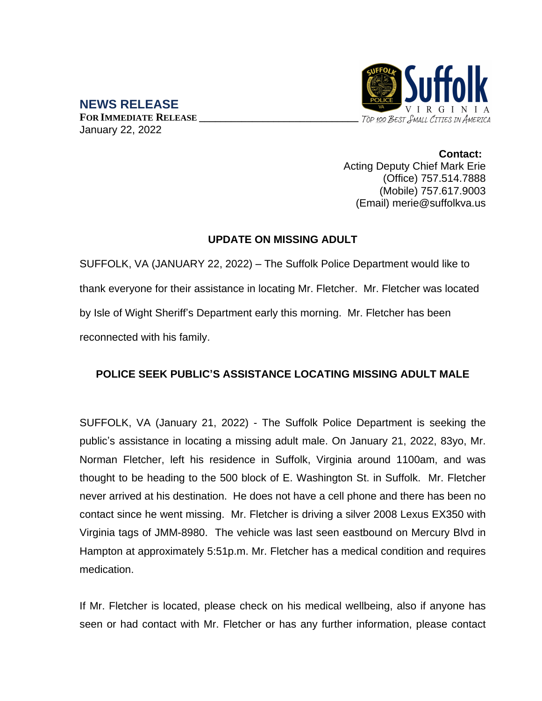

**NEWS RELEASE FOR IMMEDIATE RELEASE \_\_\_\_\_\_\_\_\_\_\_\_\_\_\_\_\_\_\_\_\_\_\_\_\_\_\_\_\_\_** January 22, 2022

> **Contact:** Acting Deputy Chief Mark Erie (Office) 757.514.7888 (Mobile) 757.617.9003 (Email) merie@suffolkva.us

## **UPDATE ON MISSING ADULT**

SUFFOLK, VA (JANUARY 22, 2022) – The Suffolk Police Department would like to thank everyone for their assistance in locating Mr. Fletcher. Mr. Fletcher was located by Isle of Wight Sheriff's Department early this morning. Mr. Fletcher has been reconnected with his family.

## **POLICE SEEK PUBLIC'S ASSISTANCE LOCATING MISSING ADULT MALE**

SUFFOLK, VA (January 21, 2022) - The Suffolk Police Department is seeking the public's assistance in locating a missing adult male. On January 21, 2022, 83yo, Mr. Norman Fletcher, left his residence in Suffolk, Virginia around 1100am, and was thought to be heading to the 500 block of E. Washington St. in Suffolk. Mr. Fletcher never arrived at his destination. He does not have a cell phone and there has been no contact since he went missing. Mr. Fletcher is driving a silver 2008 Lexus EX350 with Virginia tags of JMM-8980. The vehicle was last seen eastbound on Mercury Blvd in Hampton at approximately 5:51p.m. Mr. Fletcher has a medical condition and requires medication.

If Mr. Fletcher is located, please check on his medical wellbeing, also if anyone has seen or had contact with Mr. Fletcher or has any further information, please contact